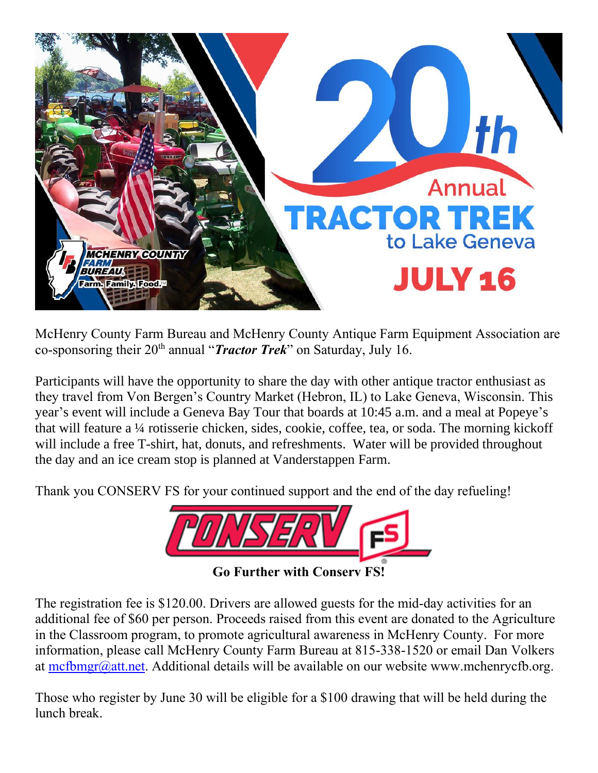

McHenry County Farm Bureau and McHenry County Antique Farm Equipment Association are co-sponsoring their 20th annual "*Tractor Trek*" on Saturday, July 16.

Participants will have the opportunity to share the day with other antique tractor enthusiast as they travel from Von Bergen's Country Market (Hebron, IL) to Lake Geneva, Wisconsin. This year's event will include a Geneva Bay Tour that boards at 10:45 a.m. and a meal at Popeye's that will feature a ¼ rotisserie chicken, sides, cookie, coffee, tea, or soda. The morning kickoff will include a free T-shirt, hat, donuts, and refreshments. Water will be provided throughout the day and an ice cream stop is planned at Vanderstappen Farm.

Thank you CONSERV FS for your continued support and the end of the day refueling!



The registration fee is \$120.00. Drivers are allowed guests for the mid-day activities for an additional fee of \$60 per person. Proceeds raised from this event are donated to the Agriculture in the Classroom program, to promote agricultural awareness in McHenry County. For more information, please call McHenry County Farm Bureau at 815-338-1520 or email Dan Volkers at [mcfbmgr@att.net.](mailto:mcfbmgr@att.net) Additional details will be available on our website www.mchenrycfb.org.

Those who register by June 30 will be eligible for a \$100 drawing that will be held during the lunch break.